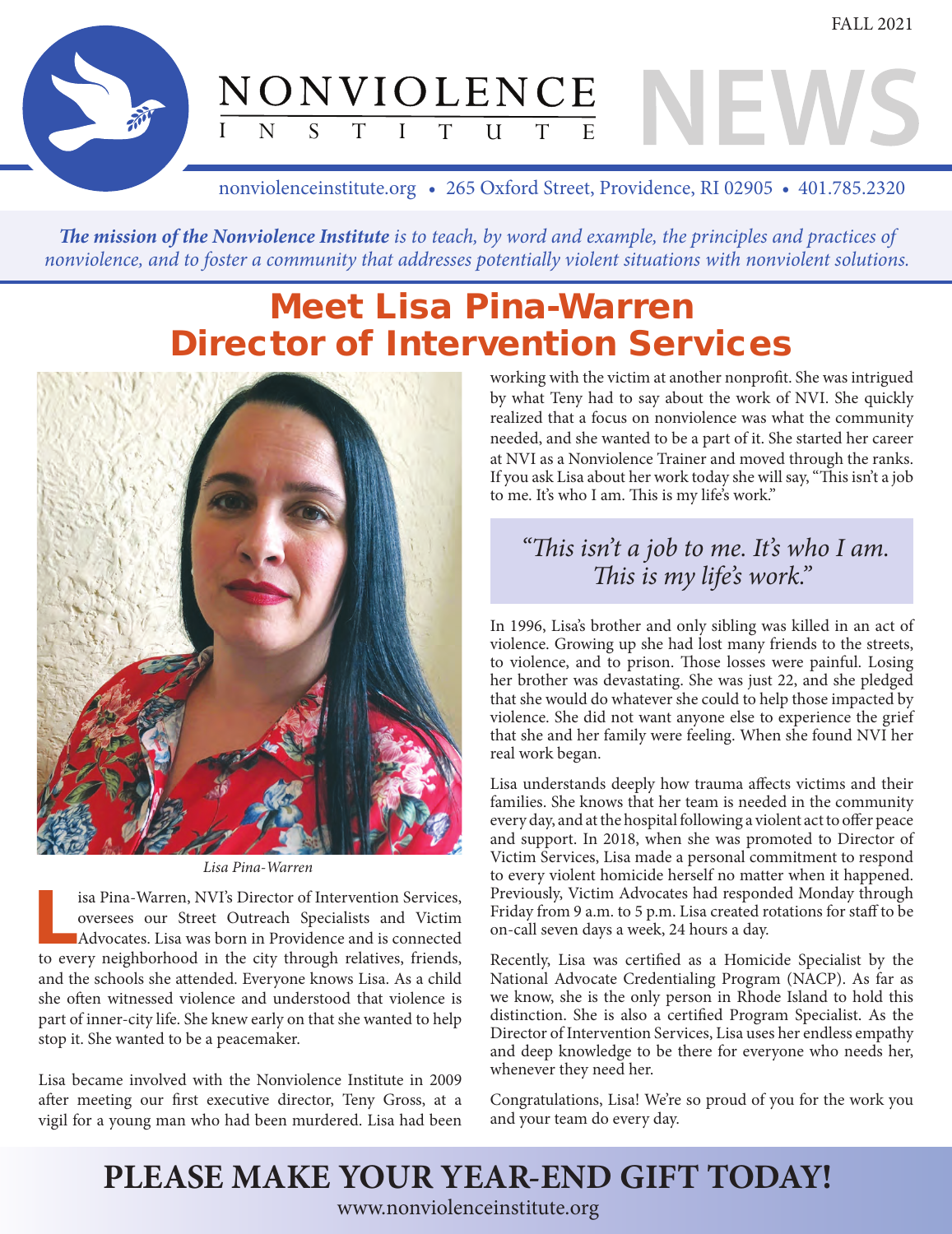$\frac{NONVIOLENCE}{\frac{1}{1} N_S T I T U T E}$ 

nonviolenceinstitute.org • 265 Oxford Street, Providence, RI 02905 • 401.785.2320

The mission of the Nonviolence Institute is to teach, by word and example, the principles and practices of nonviolence, and to foster a community that addresses potentially violent situations with nonviolent solutions.

## **Meet Lisa Pina-Warren Director of Intervention Services**



Lisa Pina-Warren

isa Pina-Warren, NVI's Director of Intervention Services, oversees our Street Outreach Specialists and Victim Advocates. Lisa was born in Providence and is connected to every neighborhood in the city through relatives, friends, and the schools she attended. Everyone knows Lisa. As a child she often witnessed violence and understood that violence is part of inner-city life. She knew early on that she wanted to help stop it. She wanted to be a peacemaker.

Lisa became involved with the Nonviolence Institute in 2009 after meeting our first executive director, Teny Gross, at a vigil for a young man who had been murdered. Lisa had been

working with the victim at another nonprofit. She was intrigued by what Teny had to say about the work of NVI. She quickly realized that a focus on nonviolence was what the community needed, and she wanted to be a part of it. She started her career at NVI as a Nonviolence Trainer and moved through the ranks. If you ask Lisa about her work today she will say, "This isn't a job to me. It's who I am. This is my life's work."

#### "This isn't a job to me. It's who I am. This is my life's work."

In 1996, Lisa's brother and only sibling was killed in an act of violence. Growing up she had lost many friends to the streets, to violence, and to prison. Those losses were painful. Losing her brother was devastating. She was just 22, and she pledged that she would do whatever she could to help those impacted by violence. She did not want anyone else to experience the grief that she and her family were feeling. When she found NVI her real work began.

Lisa understands deeply how trauma affects victims and their families. She knows that her team is needed in the community every day, and at the hospital following a violent act to offer peace and support. In 2018, when she was promoted to Director of Victim Services, Lisa made a personal commitment to respond to every violent homicide herself no matter when it happened. Previously, Victim Advocates had responded Monday through Friday from 9 a.m. to 5 p.m. Lisa created rotations for staff to be on-call seven days a week, 24 hours a day.

Recently, Lisa was certified as a Homicide Specialist by the National Advocate Credentialing Program (NACP). As far as we know, she is the only person in Rhode Island to hold this distinction. She is also a certified Program Specialist. As the Director of Intervention Services, Lisa uses her endless empathy and deep knowledge to be there for everyone who needs her, whenever they need her.

Congratulations, Lisa! We're so proud of you for the work you and your team do every day.

# PLEASE MAKE YOUR YEAR-END GIFT TODAY!

www.nonviolenceinstitute.org